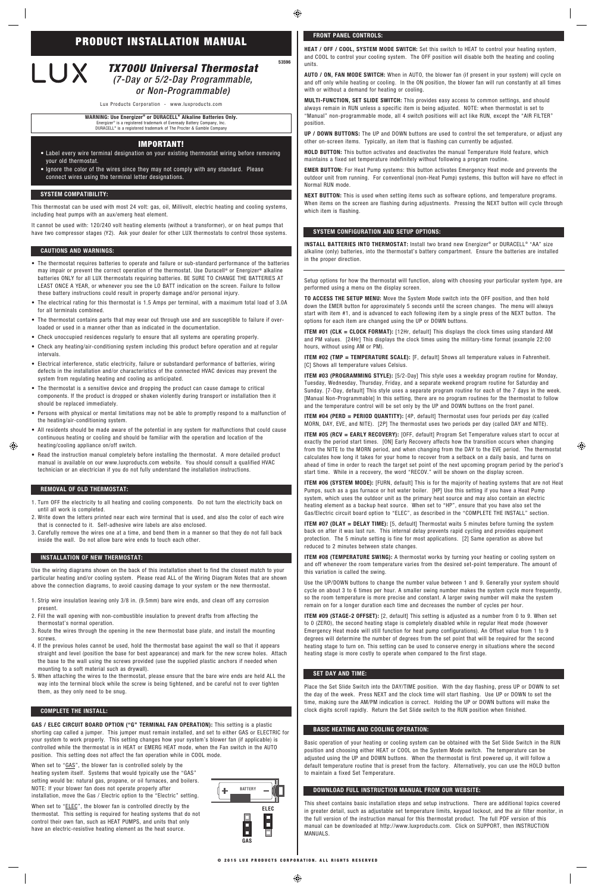⊕

53596

This thermostat can be used with most 24 volt: gas, oil, Millivolt, electric heating and cooling systems, including heat pumps with an aux/emerg heat element.

It cannot be used with: 120/240 volt heating elements (without a transformer), or on heat pumps that have two compressor stages (Y2). Ask your dealer for other LUX thermostats to control those systems.

- The thermostat requires batteries to operate and failure or sub-standard performance of the batteries may impair or prevent the correct operation of the thermostat. Use Duracell® or Energizer® alkaline batteries ONLY for all LUX thermostats requiring batteries. BE SURE TO CHANGE THE BATTERIES AT LEAST ONCE A YEAR, or whenever you see the LO BATT indication on the screen. Failure to follow these battery instructions could result in property damage and/or personal injury.
- The electrical rating for this thermostat is 1.5 Amps per terminal, with a maximum total load of 3.0A for all terminals combined.
- The thermostat contains parts that may wear out through use and are susceptible to failure if overloaded or used in a manner other than as indicated in the documentation.
- Check unoccupied residences regularly to ensure that all systems are operating properly.
- Check any heating/air-conditioning system including this product before operation and at regular intervals.
- Electrical interference, static electricity, failure or substandard performance of batteries, wiring defects in the installation and/or characteristics of the connected HVAC devices may prevent the system from regulating heating and cooling as anticipated.
- The thermostat is a sensitive device and dropping the product can cause damage to critical components. If the product is dropped or shaken violently during transport or installation then it should be replaced immediately.
- Persons with physical or mental limitations may not be able to promptly respond to a malfunction of the heating/air-conditioning system.
- All residents should be made aware of the potential in any system for malfunctions that could cause continuous heating or cooling and should be familiar with the operation and location of the heating/cooling appliance on/off switch.
- Read the instruction manual completely before installing the thermostat. A more detailed product manual is available on our www.luxproducts.com website. You should consult a qualified HVAC technician or an electrician if you do not fully understand the installation instructions.

When set to "GAS", the blower fan is controlled solely by the heating system itself. Systems that would typically use the "GAS" setting would be: natural gas, propane, or oil furnaces, and boilers. NOTE: If your blower fan does not operate properly after installation, move the Gas / Electric option to the "Electric" setting.

When set to "ELEC", the blower fan is controlled directly by the thermostat. This setting is required for heating systems that do not control their own fan, such as HEAT PUMPS, and units that only have an electric-resistive heating element as the heat source.

- 1. Turn OFF the electricity to all heating and cooling components. Do not turn the electricity back on until all work is completed.
- 2. Write down the letters printed near each wire terminal that is used, and also the color of each wire that is connected to it. Self-adhesive wire labels are also enclosed.
- 3. Carefully remove the wires one at a time, and bend them in a manner so that they do not fall back inside the wall. Do not allow bare wire ends to touch each other.

Use the wiring diagrams shown on the back of this installation sheet to find the closest match to your particular heating and/or cooling system. Please read ALL of the Wiring Diagram Notes that are shown above the connection diagrams, to avoid causing damage to your system or the new thermostat.

- 1. Strip wire insulation leaving only 3/8 in. (9.5mm) bare wire ends, and clean off any corrosion present.
- 2. Fill the wall opening with non-combustible insulation to prevent drafts from affecting the

thermostat's normal operation.

**INSTALL BATTERIES INTO THERMOSTAT:** Install two brand new Energizer® or DURACELL® "AA" size alkaline (only) batteries, into the thermostat's battery compartment. Ensure the batteries are installed in the proper direction.

- 3. Route the wires through the opening in the new thermostat base plate, and install the mounting screws.
- 4. If the previous holes cannot be used, hold the thermostat base against the wall so that it appears straight and level (position the base for best appearance) and mark for the new screw holes. Attach the base to the wall using the screws provided (use the supplied plastic anchors if needed when mounting to a soft material such as drywall).
- 5. When attaching the wires to the thermostat, please ensure that the bare wire ends are held ALL the way into the terminal block while the screw is being tightened, and be careful not to over tighten them, as they only need to be snug.

## **COMPLETE THE INSTALL:**

**ITEM #01 (CLK = CLOCK FORMAT):** [12Hr, default] This displays the clock times using standard AM and PM values. [24Hr] This displays the clock times using the military-time format (example 22:00 hours, without using AM or PM).

**ITEM #04 (PERD = PERIOD QUANTITY):** [4P, default] Thermostat uses four periods per day (called MORN, DAY, EVE, and NITE). [2P] The thermostat uses two periods per day (called DAY and NITE).

**GAS / ELEC CIRCUIT BOARD OPTION ("G" TERMINAL FAN OPERATION):** This setting is a plastic shorting cap called a jumper. This jumper must remain installed, and set to either GAS or ELECTRIC for your system to work properly. This setting changes how your system's blower fan (if applicable) is controlled while the thermostat is in HEAT or EMERG HEAT mode, when the Fan switch in the AUTO position. This setting does not affect the fan operation while in COOL mode.

**ITEM #05 (RCV = EARLY RECOVERY):** [OFF, default] Program Set Temperature values start to occur at exactly the period start times. [ON] Early Recovery affects how the transition occurs when changing from the NITE to the MORN period, and when changing from the DAY to the EVE period. The thermostat calculates how long it takes for your home to recover from a setback on a daily basis, and turns on ahead of time in order to reach the target set point of the next upcoming program period by the period's start time. While in a recovery, the word "RECOV." will be shown on the display screen.

**ITEM #07 (DLAY = DELAY TIME):** [5, default] Thermostat waits 5 minutes before turning the system back on after it was last run. This internal delay prevents rapid cycling and provides equipment protection. The 5 minute setting is fine for most applications. [2] Same operation as above but reduced to 2 minutes between state changes.

**ITEM #08 (TEMPERATURE SWING):** A thermostat works by turning your heating or cooling system on and off whenever the room temperature varies from the desired set-point temperature. The amount of this variation is called the swing.

**HEAT / OFF / COOL, SYSTEM MODE SWITCH:** Set this switch to HEAT to control your heating system, and COOL to control your cooling system. The OFF position will disable both the heating and cooling units.

**AUTO / ON, FAN MODE SWITCH:** When in AUTO, the blower fan (if present in your system) will cycle on and off only while heating or cooling. In the ON position, the blower fan will run constantly at all times with or without a demand for heating or cooling.

**MULTI-FUNCTION, SET SLIDE SWITCH:** This provides easy access to common settings, and should always remain in RUN unless a specific item is being adjusted. NOTE: when thermostat is set to "Manual" non-programmable mode, all 4 switch positions will act like RUN, except the "AIR FILTER" position.

**UP / DOWN BUTTONS:** The UP and DOWN buttons are used to control the set temperature, or adjust any other on-screen items. Typically, an item that is flashing can currently be adjusted.

**HOLD BUTTON:** This button activates and deactivates the manual Temperature Hold feature, which maintains a fixed set temperature indefinitely without following a program routine.

**EMER BUTTON:** For Heat Pump systems: this button activates Emergency Heat mode and prevents the outdoor unit from running. For conventional (non-Heat Pump) systems, this button will have no effect in Normal RUN mode.

**NEXT BUTTON:** This is used when setting items such as software options, and temperature programs. When items on the screen are flashing during adjustments. Pressing the NEXT button will cycle through which item is flashing.

Setup options for how the thermostat will function, along with choosing your particular system type, are performed using a menu on the display screen.

**TO ACCESS THE SETUP MENU:** Move the System Mode switch into the OFF position, and then hold down the EMER button for approximately 5 seconds until the screen changes. The menu will always start with item #1, and is advanced to each following item by a single press of the NEXT button. The options for each item are changed using the UP or DOWN buttons.

**ITEM #02 (TMP = TEMPERATURE SCALE):** [F, default] Shows all temperature values in Fahrenheit. [C] Shows all temperature values Celsius.

**ITEM #03 (PROGRAMMING STYLE):** [5/2-Day] This style uses a weekday program routine for Monday, Tuesday, Wednesday, Thursday, Friday, and a separate weekend program routine for Saturday and Sunday. [7-Day, default] This style uses a separate program routine for each of the 7 days in the week. [Manual Non-Programmable] In this setting, there are no program routines for the thermostat to follow and the temperature control will be set only by the UP and DOWN buttons on the front panel.

**ITEM #06 (SYSTEM MODE):** [FURN, default] This is for the majority of heating systems that are not Heat Pumps, such as a gas furnace or hot water boiler. [HP] Use this setting if you have a Heat Pump system, which uses the outdoor unit as the primary heat source and may also contain an electric heating element as a backup heat source. When set to "HP", ensure that you have also set the Gas/Electric circuit board option to "ELEC", as described in the "COMPLETE THE INSTALL" section.

Use the UP/DOWN buttons to change the number value between 1 and 9. Generally your system should cycle on about 3 to 6 times per hour. A smaller swing number makes the system cycle more frequently, so the room temperature is more precise and constant. A larger swing number will make the system remain on for a longer duration each time and decreases the number of cycles per hour.

**ITEM #09 (STAGE-2 OFFSET):** [2, default] This setting is adjusted as a number from 0 to 9. When set

to 0 (ZERO), the second heating stage is completely disabled while in regular Heat mode (however Emergency Heat mode will still function for heat pump configurations). An Offset value from 1 to 9 degrees will determine the number of degrees from the set point that will be required for the second heating stage to turn on. This setting can be used to conserve energy in situations where the second heating stage is more costly to operate when compared to the first stage.

Place the Set Slide Switch into the DAY/TIME position. With the day flashing, press UP or DOWN to set the day of the week. Press NEXT and the clock time will start flashing. Use UP or DOWN to set the time, making sure the AM/PM indication is correct. Holding the UP or DOWN buttons will make the clock digits scroll rapidly. Return the Set Slide switch to the RUN position when finished.

Basic operation of your heating or cooling system can be obtained with the Set Slide Switch in the RUN position and choosing either HEAT or COOL on the System Mode switch. The temperature can be adjusted using the UP and DOWN buttons. When the thermostat is first powered up, it will follow a default temperature routine that is preset from the factory. Alternatively, you can use the HOLD button to maintain a fixed Set Temperature.

This sheet contains basic installation steps and setup instructions. There are additional topics covered in greater detail, such as adjustable set temperature limits, keypad lockout, and the air filter monitor, in the full version of the instruction manual for this thermostat product. The full PDF version of this manual can be downloaded at http://www.luxproducts.com. Click on SUPPORT, then INSTRUCTION MANUALS.

## *TX700U Universal Thermostat (7-Day or 5/2-Day Programmable,*

## **WARNING: Use Energizer® or DURACELL® Alkaline Batteries Only.** Energizer® is a registered trademark of Eveready Battery Company, Inc.

*or Non-Programmable)* Lux Products Corporation - www.luxproducts.com

DURACELL® is a registered trademark of The Procter & Gamble Company

## **PRODUCT INSTALLATION MANUAL**

# LUX

#### **REMOVAL OF OLD THERMOSTAT:**

⊕

#### **CAUTIONS AND WARNINGS:**

#### **SYSTEM COMPATIBILITY:**

## **INSTALLATION OF NEW THERMOSTAT:**

#### **SET DAY AND TIME:**

#### **SYSTEM CONFIGURATION AND SETUP OPTIONS:**

#### **FRONT PANEL CONTROLS:**

 $\bigoplus$ 

#### **IMPORTANT!**

- Label every wire terminal designation on your existing thermostat wiring before removing your old thermostat.
- Ignore the color of the wires since they may not comply with any standard. Please connect wires using the terminal letter designations.

#### **BASIC HEATING AND COOLING OPERATION:**

#### **DOWNLOAD FULL INSTRUCTION MANUAL FROM OUR WEBSITE:**